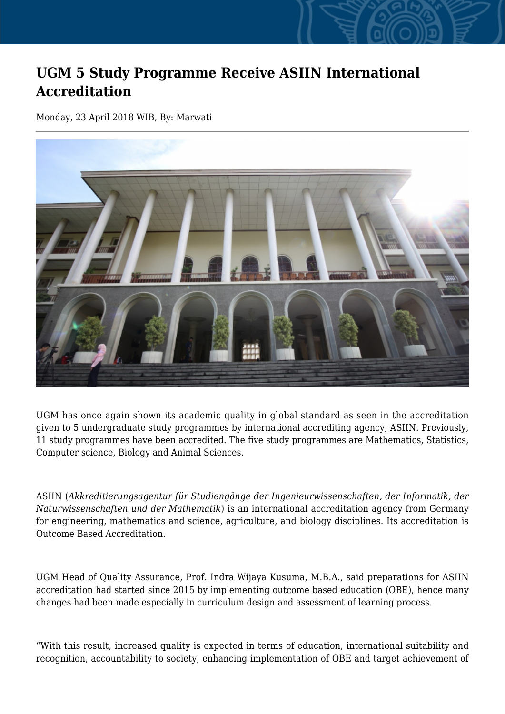## **UGM 5 Study Programme Receive ASIIN International Accreditation**

Monday, 23 April 2018 WIB, By: Marwati



UGM has once again shown its academic quality in global standard as seen in the accreditation given to 5 undergraduate study programmes by international accrediting agency, ASIIN. Previously, 11 study programmes have been accredited. The five study programmes are Mathematics, Statistics, Computer science, Biology and Animal Sciences.

ASIIN (*Akkreditierungsagentur für Studiengänge der Ingenieurwissenschaften, der Informatik, der Naturwissenschaften und der Mathematik*) is an international accreditation agency from Germany for engineering, mathematics and science, agriculture, and biology disciplines. Its accreditation is Outcome Based Accreditation.

UGM Head of Quality Assurance, Prof. Indra Wijaya Kusuma, M.B.A., said preparations for ASIIN accreditation had started since 2015 by implementing outcome based education (OBE), hence many changes had been made especially in curriculum design and assessment of learning process.

"With this result, increased quality is expected in terms of education, international suitability and recognition, accountability to society, enhancing implementation of OBE and target achievement of